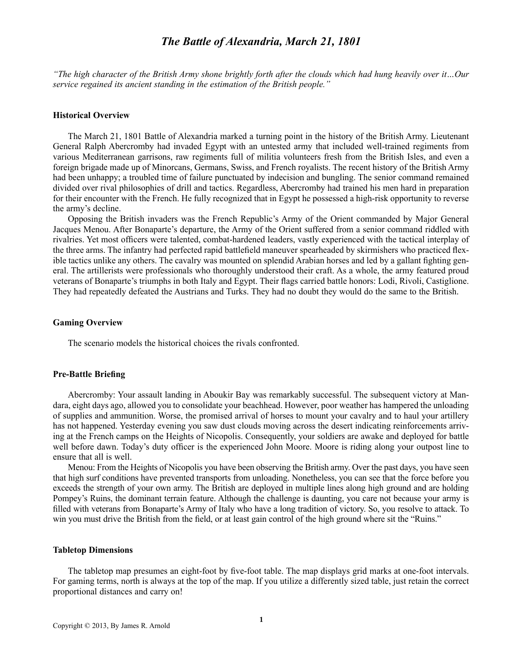# *The Battle of Alexandria, March 21, 1801*

*"The high character of the British Army shone brightly forth after the clouds which had hung heavily over it…Our service regained its ancient standing in the estimation of the British people."*

#### **Historical Overview**

The March 21, 1801 Battle of Alexandria marked a turning point in the history of the British Army. Lieutenant General Ralph Abercromby had invaded Egypt with an untested army that included well-trained regiments from various Mediterranean garrisons, raw regiments full of militia volunteers fresh from the British Isles, and even a foreign brigade made up of Minorcans, Germans, Swiss, and French royalists. The recent history of the British Army had been unhappy; a troubled time of failure punctuated by indecision and bungling. The senior command remained divided over rival philosophies of drill and tactics. Regardless, Abercromby had trained his men hard in preparation for their encounter with the French. He fully recognized that in Egypt he possessed a high-risk opportunity to reverse the army's decline.

Opposing the British invaders was the French Republic's Army of the Orient commanded by Major General Jacques Menou. After Bonaparte's departure, the Army of the Orient suffered from a senior command riddled with rivalries. Yet most officers were talented, combat-hardened leaders, vastly experienced with the tactical interplay of the three arms. The infantry had perfected rapid battlefield maneuver spearheaded by skirmishers who practiced flexible tactics unlike any others. The cavalry was mounted on splendid Arabian horses and led by a gallant fighting general. The artillerists were professionals who thoroughly understood their craft. As a whole, the army featured proud veterans of Bonaparte's triumphs in both Italy and Egypt. Their flags carried battle honors: Lodi, Rivoli, Castiglione. They had repeatedly defeated the Austrians and Turks. They had no doubt they would do the same to the British.

# **Gaming Overview**

The scenario models the historical choices the rivals confronted.

# **Pre-Battle Briefing**

Abercromby: Your assault landing in Aboukir Bay was remarkably successful. The subsequent victory at Mandara, eight days ago, allowed you to consolidate your beachhead. However, poor weather has hampered the unloading of supplies and ammunition. Worse, the promised arrival of horses to mount your cavalry and to haul your artillery has not happened. Yesterday evening you saw dust clouds moving across the desert indicating reinforcements arriving at the French camps on the Heights of Nicopolis. Consequently, your soldiers are awake and deployed for battle well before dawn. Today's duty officer is the experienced John Moore. Moore is riding along your outpost line to ensure that all is well.

Menou: From the Heights of Nicopolis you have been observing the British army. Over the past days, you have seen that high surf conditions have prevented transports from unloading. Nonetheless, you can see that the force before you exceeds the strength of your own army. The British are deployed in multiple lines along high ground and are holding Pompey's Ruins, the dominant terrain feature. Although the challenge is daunting, you care not because your army is filled with veterans from Bonaparte's Army of Italy who have a long tradition of victory. So, you resolve to attack. To win you must drive the British from the field, or at least gain control of the high ground where sit the "Ruins."

#### **Tabletop Dimensions**

The tabletop map presumes an eight-foot by five-foot table. The map displays grid marks at one-foot intervals. For gaming terms, north is always at the top of the map. If you utilize a differently sized table, just retain the correct proportional distances and carry on!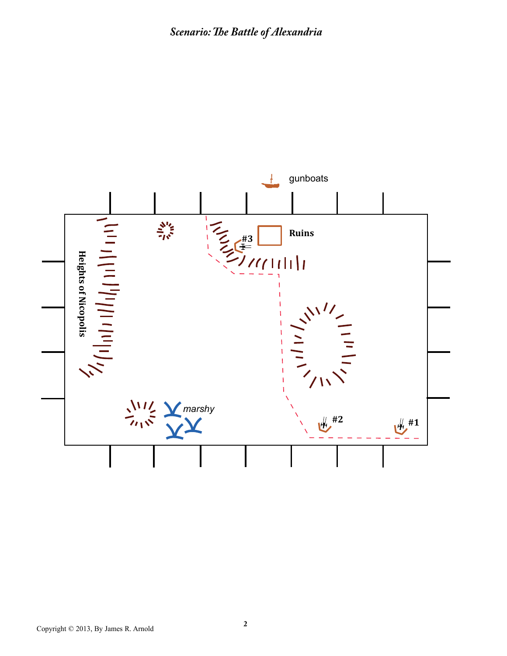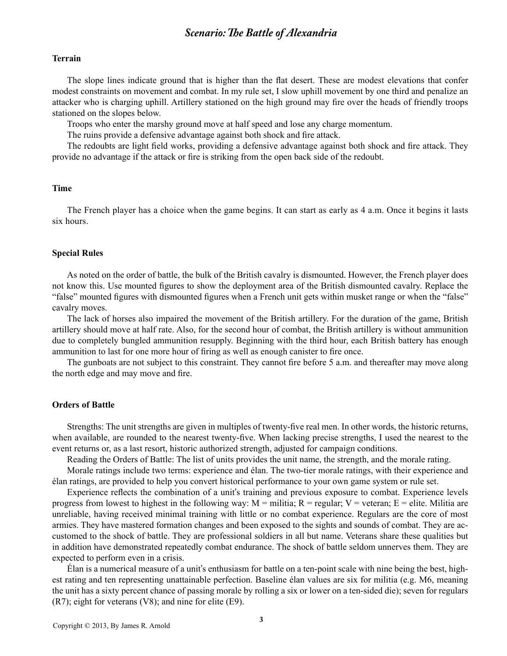# **Terrain**

The slope lines indicate ground that is higher than the flat desert. These are modest elevations that confer modest constraints on movement and combat. In my rule set, I slow uphill movement by one third and penalize an attacker who is charging uphill. Artillery stationed on the high ground may fire over the heads of friendly troops stationed on the slopes below.

Troops who enter the marshy ground move at half speed and lose any charge momentum.

The ruins provide a defensive advantage against both shock and fire attack.

The redoubts are light field works, providing a defensive advantage against both shock and fire attack. They provide no advantage if the attack or fire is striking from the open back side of the redoubt.

# **Time**

The French player has a choice when the game begins. It can start as early as 4 a.m. Once it begins it lasts six hours.

#### **Special Rules**

As noted on the order of battle, the bulk of the British cavalry is dismounted. However, the French player does not know this. Use mounted figures to show the deployment area of the British dismounted cavalry. Replace the "false" mounted figures with dismounted figures when a French unit gets within musket range or when the "false" cavalry moves.

The lack of horses also impaired the movement of the British artillery. For the duration of the game, British artillery should move at half rate. Also, for the second hour of combat, the British artillery is without ammunition due to completely bungled ammunition resupply. Beginning with the third hour, each British battery has enough ammunition to last for one more hour of firing as well as enough canister to fire once.

The gunboats are not subject to this constraint. They cannot fire before 5 a.m. and thereafter may move along the north edge and may move and fire.

# **Orders of Battle**

Strengths: The unit strengths are given in multiples of twenty-five real men. In other words, the historic returns, when available, are rounded to the nearest twenty-five. When lacking precise strengths, I used the nearest to the event returns or, as a last resort, historic authorized strength, adjusted for campaign conditions.

Reading the Orders of Battle: The list of units provides the unit name, the strength, and the morale rating.

Morale ratings include two terms: experience and élan. The two-tier morale ratings, with their experience and élan ratings, are provided to help you convert historical performance to your own game system or rule set.

Experience reflects the combination of a unit's training and previous exposure to combat. Experience levels progress from lowest to highest in the following way:  $M =$  militia;  $R =$  regular;  $V =$  veteran;  $E =$  elite. Militia are unreliable, having received minimal training with little or no combat experience. Regulars are the core of most armies. They have mastered formation changes and been exposed to the sights and sounds of combat. They are accustomed to the shock of battle. They are professional soldiers in all but name. Veterans share these qualities but in addition have demonstrated repeatedly combat endurance. The shock of battle seldom unnerves them. They are expected to perform even in a crisis.

Élan is a numerical measure of a unit's enthusiasm for battle on a ten-point scale with nine being the best, highest rating and ten representing unattainable perfection. Baseline élan values are six for militia (e.g. M6, meaning the unit has a sixty percent chance of passing morale by rolling a six or lower on a ten-sided die); seven for regulars (R7); eight for veterans (V8); and nine for elite (E9).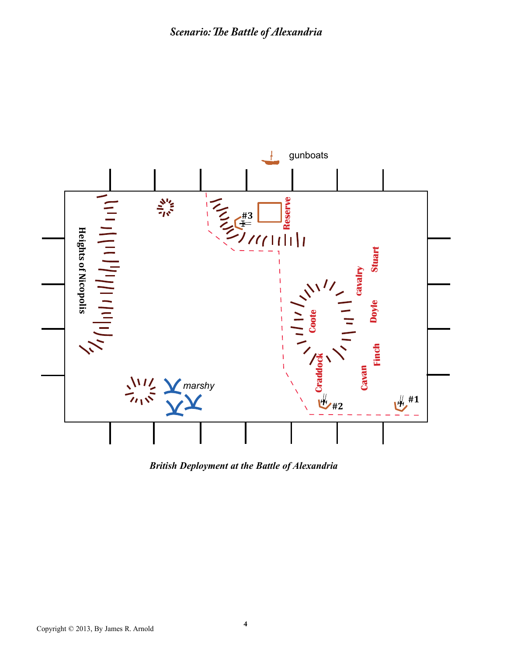

*British Deployment at the Battle of Alexandria*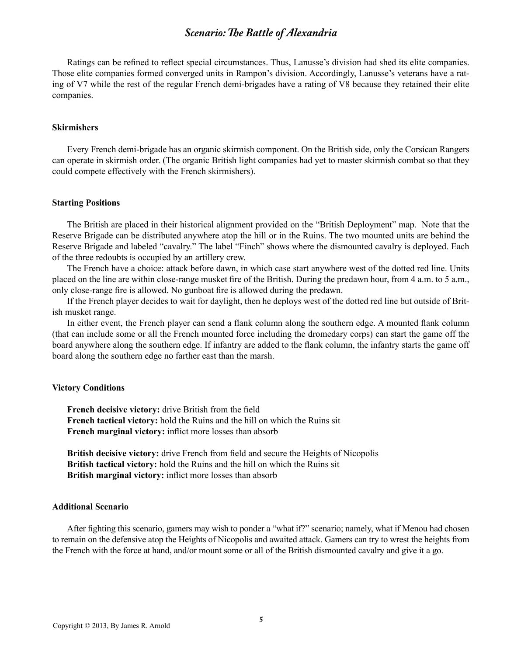Ratings can be refined to reflect special circumstances. Thus, Lanusse's division had shed its elite companies. Those elite companies formed converged units in Rampon's division. Accordingly, Lanusse's veterans have a rating of V7 while the rest of the regular French demi-brigades have a rating of V8 because they retained their elite companies.

# **Skirmishers**

Every French demi-brigade has an organic skirmish component. On the British side, only the Corsican Rangers can operate in skirmish order. (The organic British light companies had yet to master skirmish combat so that they could compete effectively with the French skirmishers).

#### **Starting Positions**

The British are placed in their historical alignment provided on the "British Deployment" map. Note that the Reserve Brigade can be distributed anywhere atop the hill or in the Ruins. The two mounted units are behind the Reserve Brigade and labeled "cavalry." The label "Finch" shows where the dismounted cavalry is deployed. Each of the three redoubts is occupied by an artillery crew.

The French have a choice: attack before dawn, in which case start anywhere west of the dotted red line. Units placed on the line are within close-range musket fire of the British. During the predawn hour, from 4 a.m. to 5 a.m., only close-range fire is allowed. No gunboat fire is allowed during the predawn.

If the French player decides to wait for daylight, then he deploys west of the dotted red line but outside of British musket range.

In either event, the French player can send a flank column along the southern edge. A mounted flank column (that can include some or all the French mounted force including the dromedary corps) can start the game off the board anywhere along the southern edge. If infantry are added to the flank column, the infantry starts the game off board along the southern edge no farther east than the marsh.

# **Victory Conditions**

**French decisive victory:** drive British from the field **French tactical victory:** hold the Ruins and the hill on which the Ruins sit **French marginal victory:** inflict more losses than absorb

**British decisive victory:** drive French from field and secure the Heights of Nicopolis **British tactical victory:** hold the Ruins and the hill on which the Ruins sit **British marginal victory:** inflict more losses than absorb

# **Additional Scenario**

After fighting this scenario, gamers may wish to ponder a "what if?" scenario; namely, what if Menou had chosen to remain on the defensive atop the Heights of Nicopolis and awaited attack. Gamers can try to wrest the heights from the French with the force at hand, and/or mount some or all of the British dismounted cavalry and give it a go.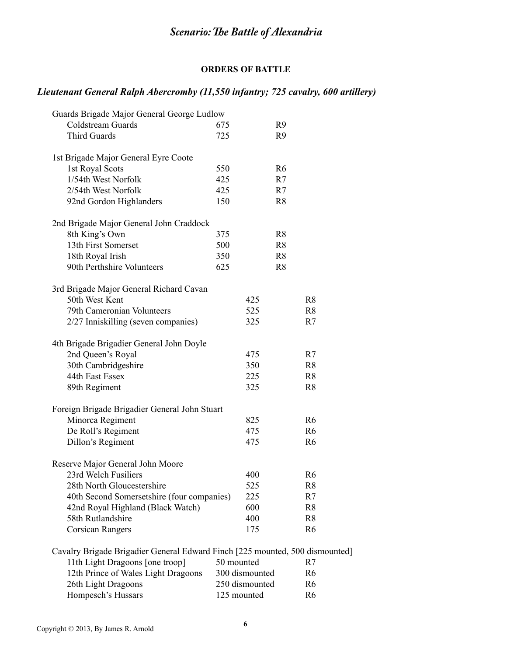# **ORDERS OF BATTLE**

# *Lieutenant General Ralph Abercromby (11,550 infantry; 725 cavalry, 600 artillery)*

| Guards Brigade Major General George Ludlow                                   |            |                |                |
|------------------------------------------------------------------------------|------------|----------------|----------------|
| Coldstream Guards                                                            | 675        | R9             |                |
| <b>Third Guards</b>                                                          | 725        | R9             |                |
|                                                                              |            |                |                |
| 1st Brigade Major General Eyre Coote                                         |            |                |                |
| 1st Royal Scots                                                              | 550        | R <sub>6</sub> |                |
| 1/54th West Norfolk                                                          | 425        | R7             |                |
| 2/54th West Norfolk                                                          | 425        | R7             |                |
| 92nd Gordon Highlanders                                                      | 150        | R <sub>8</sub> |                |
| 2nd Brigade Major General John Craddock                                      |            |                |                |
| 8th King's Own                                                               | 375        | R <sub>8</sub> |                |
| 13th First Somerset                                                          | 500        | R8             |                |
| 18th Royal Irish                                                             | 350        | R <sub>8</sub> |                |
| 90th Perthshire Volunteers                                                   | 625        | R <sub>8</sub> |                |
|                                                                              |            |                |                |
| 3rd Brigade Major General Richard Cavan                                      |            |                |                |
| 50th West Kent                                                               |            | 425            | R <sub>8</sub> |
| 79th Cameronian Volunteers                                                   |            | 525            | R <sub>8</sub> |
| 2/27 Inniskilling (seven companies)                                          |            | 325            | R7             |
| 4th Brigade Brigadier General John Doyle                                     |            |                |                |
| 2nd Queen's Royal                                                            |            | 475            | R7             |
| 30th Cambridgeshire                                                          |            | 350            | R <sub>8</sub> |
| 44th East Essex                                                              |            | 225            | R <sub>8</sub> |
| 89th Regiment                                                                |            | 325            | R <sub>8</sub> |
| Foreign Brigade Brigadier General John Stuart                                |            |                |                |
| Minorca Regiment                                                             |            | 825            | R <sub>6</sub> |
| De Roll's Regiment                                                           |            | 475            | R <sub>6</sub> |
|                                                                              |            | 475            | R <sub>6</sub> |
| Dillon's Regiment                                                            |            |                |                |
| Reserve Major General John Moore                                             |            |                |                |
| 23rd Welch Fusiliers                                                         |            | 400            | R <sub>6</sub> |
| 28th North Gloucestershire                                                   |            | 525            | R8             |
| 40th Second Somersetshire (four companies)                                   |            | 225            | R7             |
| 42nd Royal Highland (Black Watch)                                            |            | 600            | R <sub>8</sub> |
| 58th Rutlandshire                                                            |            | 400            | R <sub>8</sub> |
| <b>Corsican Rangers</b>                                                      |            | 175            | R <sub>6</sub> |
| Cavalry Brigade Brigadier General Edward Finch [225 mounted, 500 dismounted] |            |                |                |
| 11th Light Dragoons [one troop]                                              | 50 mounted |                | R7             |
| 12th Prince of Wales Light Dragoons                                          |            | 300 dismounted | R <sub>6</sub> |
| 26th Light Dragoons                                                          |            | 250 dismounted | R6             |
|                                                                              |            |                |                |

Hompesch's Hussars 125 mounted R6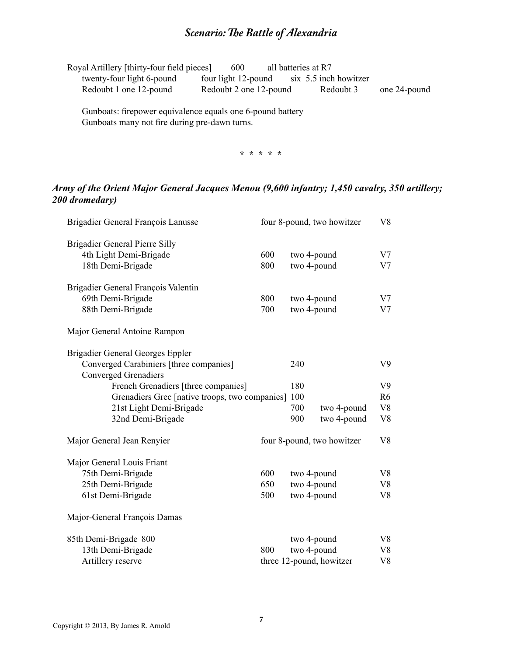| Royal Artillery [thirty-four field pieces] | 600                    | all batteries at R7   |              |
|--------------------------------------------|------------------------|-----------------------|--------------|
| twenty-four light 6-pound                  | four light 12-pound    | six 5.5 inch howitzer |              |
| Redoubt 1 one 12-pound                     | Redoubt 2 one 12-pound | Redoubt 3             | one 24-pound |
|                                            |                        |                       |              |

Gunboats: firepower equivalence equals one 6-pound battery Gunboats many not fire during pre-dawn turns.

**\* \* \* \* \***

# *Army of the Orient Major General Jacques Menou (9,600 infantry; 1,450 cavalry, 350 artillery; 200 dromedary)*

| Brigadier General François Lanusse                                     |                            | V8<br>four 8-pound, two howitzer |                |                |
|------------------------------------------------------------------------|----------------------------|----------------------------------|----------------|----------------|
| Brigadier General Pierre Silly                                         |                            |                                  |                |                |
| 4th Light Demi-Brigade                                                 | 600                        |                                  | two 4-pound    | V <sub>7</sub> |
| 18th Demi-Brigade                                                      | 800                        |                                  | two 4-pound    | V <sub>7</sub> |
| Brigadier General François Valentin                                    |                            |                                  |                |                |
| 69th Demi-Brigade                                                      | 800                        |                                  | two 4-pound    | V <sub>7</sub> |
| 88th Demi-Brigade                                                      | 700                        | two 4-pound                      | V <sub>7</sub> |                |
| Major General Antoine Rampon                                           |                            |                                  |                |                |
| <b>Brigadier General Georges Eppler</b>                                |                            |                                  |                |                |
| Converged Carabiniers [three companies]<br><b>Converged Grenadiers</b> |                            | 240                              |                | V <sub>9</sub> |
| French Grenadiers [three companies]                                    |                            | 180                              |                | V <sub>9</sub> |
| Grenadiers Grec [native troops, two companies]                         |                            | 100                              |                | R <sub>6</sub> |
| 21st Light Demi-Brigade                                                |                            | 700                              | two 4-pound    | V8             |
| 32nd Demi-Brigade                                                      |                            | 900                              | two 4-pound    | V <sub>8</sub> |
| Major General Jean Renyier                                             | four 8-pound, two howitzer |                                  | V <sub>8</sub> |                |
| Major General Louis Friant                                             |                            |                                  |                |                |
| 75th Demi-Brigade                                                      | 600                        | two 4-pound                      |                | V8             |
| 25th Demi-Brigade                                                      | 650                        | two 4-pound                      |                | V8             |
| 61st Demi-Brigade                                                      | 500                        |                                  | two 4-pound    | V <sub>8</sub> |
| Major-General François Damas                                           |                            |                                  |                |                |
| 85th Demi-Brigade 800                                                  |                            |                                  | two 4-pound    | V <sub>8</sub> |
| 13th Demi-Brigade                                                      | 800                        |                                  | two 4-pound    | V8             |
| Artillery reserve                                                      |                            | three 12-pound, howitzer         |                |                |